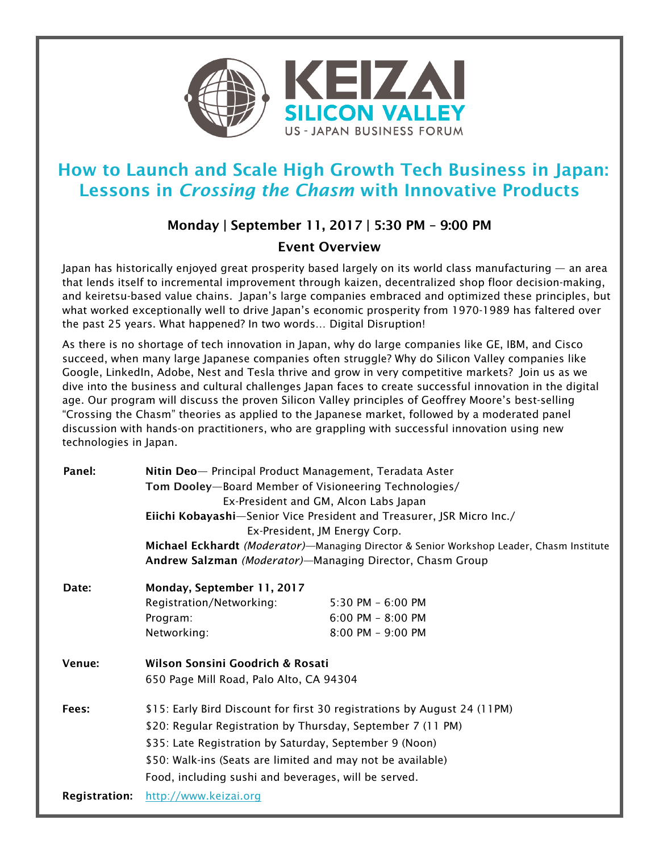

## How to Launch and Scale High Growth Tech Business in Japan: Lessons in *Crossing the Chasm* with Innovative Products

## Monday | September 11, 2017 | 5:30 PM – 9:00 PM

## Event Overview

Japan has historically enjoyed great prosperity based largely on its world class manufacturing — an area that lends itself to incremental improvement through kaizen, decentralized shop floor decision-making, and keiretsu-based value chains. Japan's large companies embraced and optimized these principles, but what worked exceptionally well to drive Japan's economic prosperity from 1970-1989 has faltered over the past 25 years. What happened? In two words… Digital Disruption!

As there is no shortage of tech innovation in Japan, why do large companies like GE, IBM, and Cisco succeed, when many large Japanese companies often struggle? Why do Silicon Valley companies like Google, LinkedIn, Adobe, Nest and Tesla thrive and grow in very competitive markets? Join us as we dive into the business and cultural challenges Japan faces to create successful innovation in the digital age. Our program will discuss the proven Silicon Valley principles of Geoffrey Moore's best-selling "Crossing the Chasm" theories as applied to the Japanese market, followed by a moderated panel discussion with hands-on practitioners, who are grappling with successful innovation using new technologies in Japan.

| Panel:               | Nitin Deo- Principal Product Management, Teradata Aster                                  |                       |
|----------------------|------------------------------------------------------------------------------------------|-----------------------|
|                      | Tom Dooley-Board Member of Visioneering Technologies/                                    |                       |
|                      | Ex-President and GM, Alcon Labs Japan                                                    |                       |
|                      | Eiichi Kobayashi-Senior Vice President and Treasurer, JSR Micro Inc./                    |                       |
|                      | Ex-President, JM Energy Corp.                                                            |                       |
|                      | Michael Eckhardt (Moderator)-Managing Director & Senior Workshop Leader, Chasm Institute |                       |
|                      | Andrew Salzman (Moderator)-Managing Director, Chasm Group                                |                       |
| Date:                | Monday, September 11, 2017                                                               |                       |
|                      | Registration/Networking:                                                                 | $5:30$ PM $-6:00$ PM  |
|                      | Program:                                                                                 | $6:00$ PM - $8:00$ PM |
|                      | Networking:                                                                              | $8:00$ PM $-9:00$ PM  |
| Venue:               | Wilson Sonsini Goodrich & Rosati<br>650 Page Mill Road, Palo Alto, CA 94304              |                       |
|                      |                                                                                          |                       |
| Fees:                | \$15: Early Bird Discount for first 30 registrations by August 24 (11PM)                 |                       |
|                      | \$20: Regular Registration by Thursday, September 7 (11 PM)                              |                       |
|                      | \$35: Late Registration by Saturday, September 9 (Noon)                                  |                       |
|                      | \$50: Walk-ins (Seats are limited and may not be available)                              |                       |
|                      | Food, including sushi and beverages, will be served.                                     |                       |
|                      |                                                                                          |                       |
| <b>Registration:</b> | http://www.keizai.org                                                                    |                       |
|                      |                                                                                          |                       |